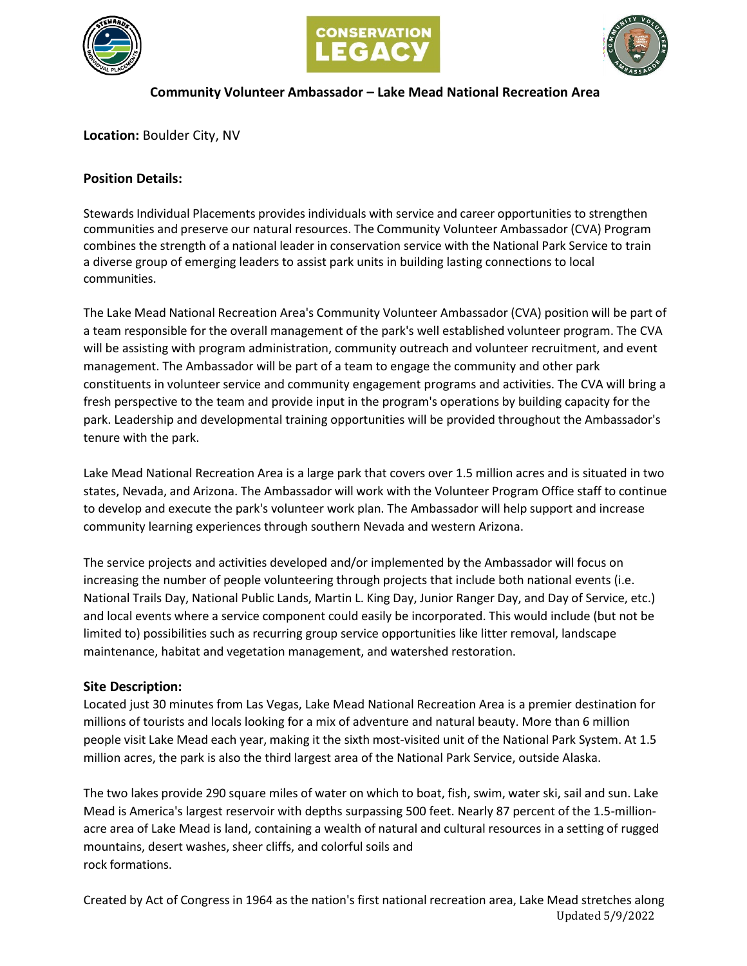





## **Community Volunteer Ambassador – Lake Mead National Recreation Area**

**Location:** Boulder City, NV

# **Position Details:**

Stewards Individual Placements provides individuals with service and career opportunities to strengthen communities and preserve our natural resources. The Community Volunteer Ambassador (CVA) Program combines the strength of a national leader in conservation service with the National Park Service to train a diverse group of emerging leaders to assist park units in building lasting connections to local communities.

The Lake Mead National Recreation Area's Community Volunteer Ambassador (CVA) position will be part of a team responsible for the overall management of the park's well established volunteer program. The CVA will be assisting with program administration, community outreach and volunteer recruitment, and event management. The Ambassador will be part of a team to engage the community and other park constituents in volunteer service and community engagement programs and activities. The CVA will bring a fresh perspective to the team and provide input in the program's operations by building capacity for the park. Leadership and developmental training opportunities will be provided throughout the Ambassador's tenure with the park.

Lake Mead National Recreation Area is a large park that covers over 1.5 million acres and is situated in two states, Nevada, and Arizona. The Ambassador will work with the Volunteer Program Office staff to continue to develop and execute the park's volunteer work plan. The Ambassador will help support and increase community learning experiences through southern Nevada and western Arizona.

The service projects and activities developed and/or implemented by the Ambassador will focus on increasing the number of people volunteering through projects that include both national events (i.e. National Trails Day, National Public Lands, Martin L. King Day, Junior Ranger Day, and Day of Service, etc.) and local events where a service component could easily be incorporated. This would include (but not be limited to) possibilities such as recurring group service opportunities like litter removal, landscape maintenance, habitat and vegetation management, and watershed restoration.

# **Site Description:**

Located just 30 minutes from Las Vegas, Lake Mead National Recreation Area is a premier destination for millions of tourists and locals looking for a mix of adventure and natural beauty. More than 6 million people visit Lake Mead each year, making it the sixth most-visited unit of the National Park System. At 1.5 million acres, the park is also the third largest area of the National Park Service, outside Alaska.

The two lakes provide 290 square miles of water on which to boat, fish, swim, water ski, sail and sun. Lake Mead is America's largest reservoir with depths surpassing 500 feet. Nearly 87 percent of the 1.5-millionacre area of Lake Mead is land, containing a wealth of natural and cultural resources in a setting of rugged mountains, desert washes, sheer cliffs, and colorful soils and rock formations.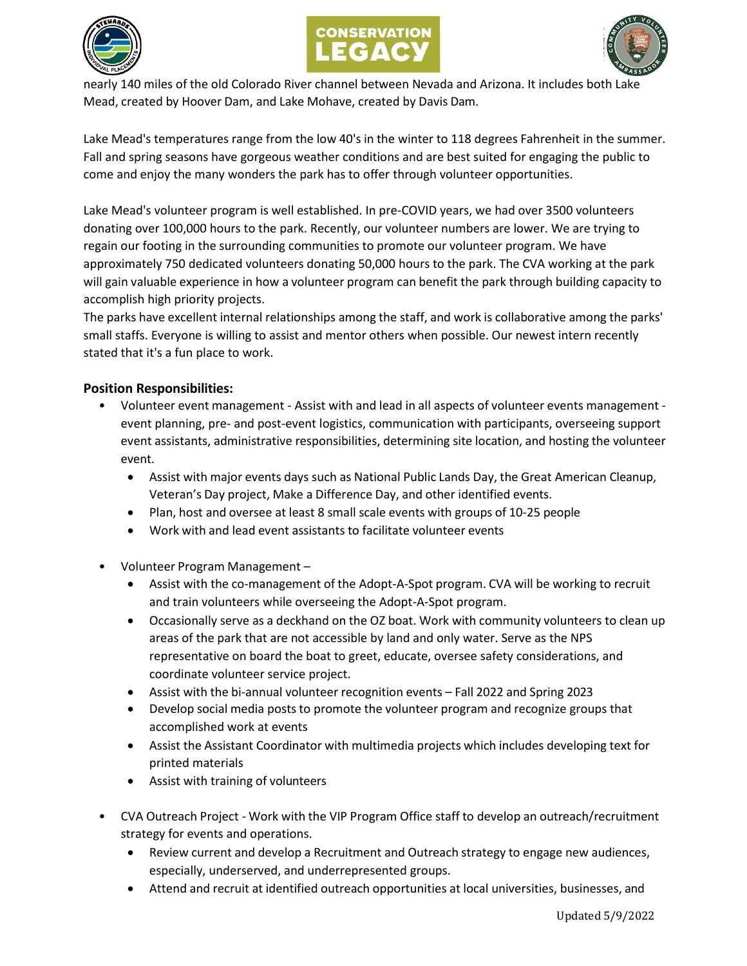





nearly 140 miles of the old Colorado River channel between Nevada and Arizona. It includes both Lake Mead, created by Hoover Dam, and Lake Mohave, created by Davis Dam.

Lake Mead's temperatures range from the low 40's in the winter to 118 degrees Fahrenheit in the summer. Fall and spring seasons have gorgeous weather conditions and are best suited for engaging the public to come and enjoy the many wonders the park has to offer through volunteer opportunities.

Lake Mead's volunteer program is well established. In pre-COVID years, we had over 3500 volunteers donating over 100,000 hours to the park. Recently, our volunteer numbers are lower. We are trying to regain our footing in the surrounding communities to promote our volunteer program. We have approximately 750 dedicated volunteers donating 50,000 hours to the park. The CVA working at the park will gain valuable experience in how a volunteer program can benefit the park through building capacity to accomplish high priority projects.

The parks have excellent internal relationships among the staff, and work is collaborative among the parks' small staffs. Everyone is willing to assist and mentor others when possible. Our newest intern recently stated that it's a fun place to work.

# **Position Responsibilities:**

- Volunteer event management Assist with and lead in all aspects of volunteer events management event planning, pre- and post-event logistics, communication with participants, overseeing support event assistants, administrative responsibilities, determining site location, and hosting the volunteer event.
	- Assist with major events days such as National Public Lands Day, the Great American Cleanup, Veteran's Day project, Make a Difference Day, and other identified events.
	- Plan, host and oversee at least 8 small scale events with groups of 10-25 people
	- Work with and lead event assistants to facilitate volunteer events
- Volunteer Program Management
	- Assist with the co-management of the Adopt-A-Spot program. CVA will be working to recruit and train volunteers while overseeing the Adopt-A-Spot program.
	- Occasionally serve as a deckhand on the OZ boat. Work with community volunteers to clean up areas of the park that are not accessible by land and only water. Serve as the NPS representative on board the boat to greet, educate, oversee safety considerations, and coordinate volunteer service project.
	- Assist with the bi-annual volunteer recognition events Fall 2022 and Spring 2023
	- Develop social media posts to promote the volunteer program and recognize groups that accomplished work at events
	- Assist the Assistant Coordinator with multimedia projects which includes developing text for printed materials
	- Assist with training of volunteers
- CVA Outreach Project Work with the VIP Program Office staff to develop an outreach/recruitment strategy for events and operations.
	- Review current and develop a Recruitment and Outreach strategy to engage new audiences, especially, underserved, and underrepresented groups.
	- Attend and recruit at identified outreach opportunities at local universities, businesses, and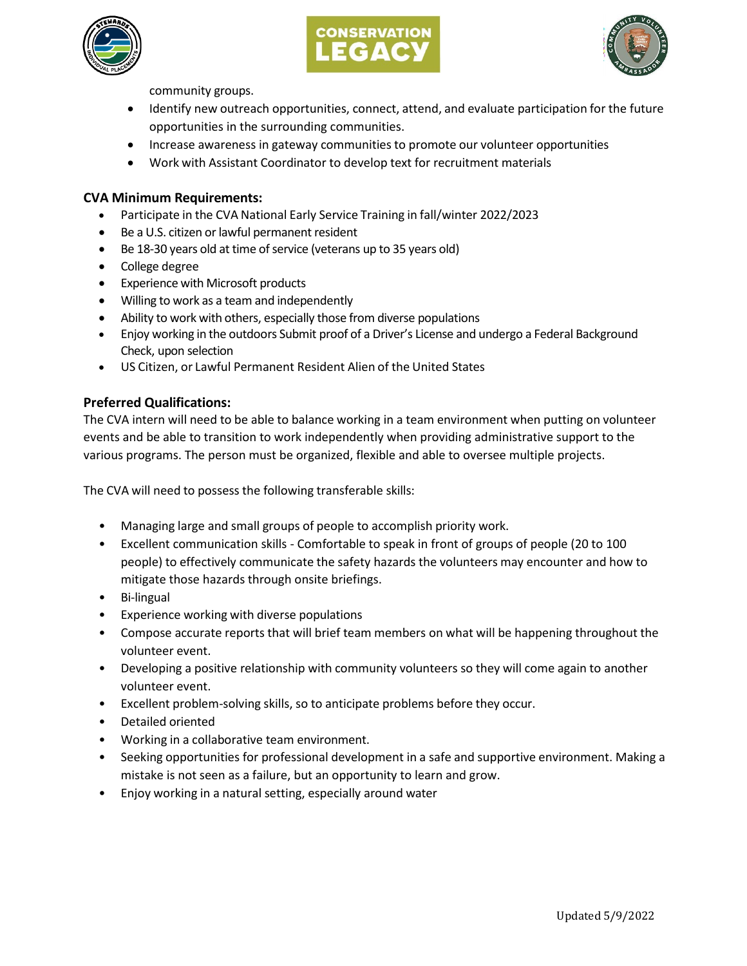





community groups.

- Identify new outreach opportunities, connect, attend, and evaluate participation for the future opportunities in the surrounding communities.
- Increase awareness in gateway communities to promote our volunteer opportunities
- Work with Assistant Coordinator to develop text for recruitment materials

### **CVA Minimum Requirements:**

- Participate in the CVA National Early Service Training in fall/winter 2022/2023
- Be a U.S. citizen or lawful permanent resident
- Be 18-30 years old at time of service (veterans up to 35 years old)
- College degree
- Experience with Microsoft products
- Willing to work as a team and independently
- Ability to work with others, especially those from diverse populations
- Enjoy working in the outdoors Submit proof of a Driver's License and undergo a Federal Background Check, upon selection
- US Citizen, or Lawful Permanent Resident Alien of the United States

#### **Preferred Qualifications:**

The CVA intern will need to be able to balance working in a team environment when putting on volunteer events and be able to transition to work independently when providing administrative support to the various programs. The person must be organized, flexible and able to oversee multiple projects.

The CVA will need to possess the following transferable skills:

- Managing large and small groups of people to accomplish priority work.
- Excellent communication skills Comfortable to speak in front of groups of people (20 to 100 people) to effectively communicate the safety hazards the volunteers may encounter and how to mitigate those hazards through onsite briefings.
- Bi-lingual
- Experience working with diverse populations
- Compose accurate reports that will brief team members on what will be happening throughout the volunteer event.
- Developing a positive relationship with community volunteers so they will come again to another volunteer event.
- Excellent problem-solving skills, so to anticipate problems before they occur.
- Detailed oriented
- Working in a collaborative team environment.
- Seeking opportunities for professional development in a safe and supportive environment. Making a mistake is not seen as a failure, but an opportunity to learn and grow.
- Enjoy working in a natural setting, especially around water